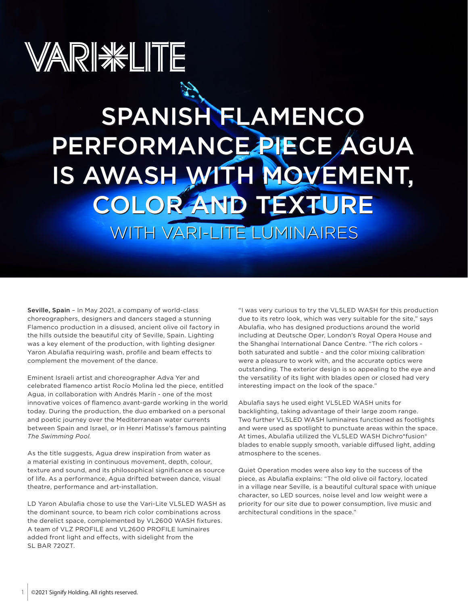## VARI<del>X</del>EITE

## WITH VARI-LITE LUMINAIRES WITH VARI-LITE LUMINAIRES SPANISH FLAMENCO PERFORMANCE PIECE AGUA IS AWASH WITH MOVEMENT, COLOR AND TEXTURE COLOR AND TEXTURE

Seville, Spain – In May 2021, a company of world-class choreographers, designers and dancers staged a stunning Flamenco production in a disused, ancient olive oil factory in the hills outside the beautiful city of Seville, Spain. Lighting was a key element of the production, with lighting designer Yaron Abulafia requiring wash, profile and beam effects to complement the movement of the dance.

Eminent Israeli artist and choreographer Adva Yer and celebrated flamenco artist Rocío Molina led the piece, entitled Agua, in collaboration with Andrés Marín - one of the most innovative voices of flamenco avant-garde working in the world today. During the production, the duo embarked on a personal and poetic journey over the Mediterranean water currents between Spain and Israel, or in Henri Matisse's famous painting *The Swimming Pool.*

As the title suggests, Agua drew inspiration from water as a material existing in continuous movement, depth, colour, texture and sound, and its philosophical significance as source of life. As a performance, Agua drifted between dance, visual theatre, performance and art-installation.

LD Yaron Abulafia chose to use the Vari-Lite VL5LED WASH as the dominant source, to beam rich color combinations across the derelict space, complemented by VL2600 WASH fixtures. A team of VLZ PROFILE and VL2600 PROFILE luminaires added front light and effects, with sidelight from the SL BAR 720ZT.

"I was very curious to try the VL5LED WASH for this production due to its retro look, which was very suitable for the site," says Abulafia, who has designed productions around the world including at Deutsche Oper, London's Royal Opera House and the Shanghai International Dance Centre. "The rich colors both saturated and subtle - and the color mixing calibration were a pleasure to work with, and the accurate optics were outstanding. The exterior design is so appealing to the eye and the versatility of its light with blades open or closed had very interesting impact on the look of the space."

Abulafia says he used eight VL5LED WASH units for backlighting, taking advantage of their large zoom range. Two further VL5LED WASH luminaires functioned as footlights and were used as spotlight to punctuate areas within the space. At times, Abulafia utilized the VL5LED WASH Dichro\*fusion® blades to enable supply smooth, variable diffused light, adding atmosphere to the scenes.

Quiet Operation modes were also key to the success of the piece, as Abulafia explains: "The old olive oil factory, located in a village near Seville, is a beautiful cultural space with unique character, so LED sources, noise level and low weight were a priority for our site due to power consumption, live music and architectural conditions in the space."